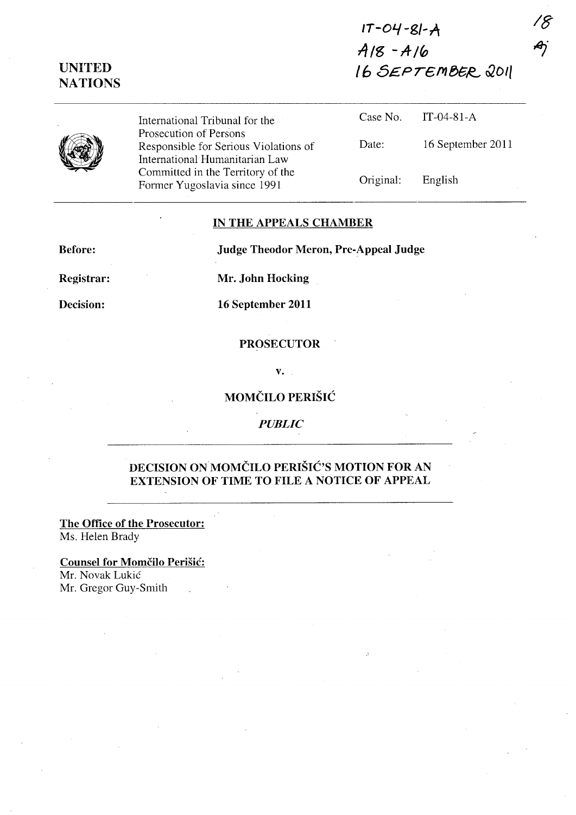# **UNITED NATIONS**

**/8** 

*,ej* 



International Tribunal for the Prosecution of Persons Responsible for Serious Violations of International Humanitarian Law Committed in the Territory of the Former Yugoslavia since 1991

| Date: | 16 September 2011 |
|-------|-------------------|
|       |                   |

Original: English

Case No. IT-04-81-A

### **IN THE APPEALS CHAMBER**

**Before: Judge Theodor Meron, Pre-Appeal Judge** 

**Registrar: Mr. John Hocking** 

**Decision: 16 September 2011** 

#### **PROSECUTOR**

**v.** 

## **MOMCILO PERISH:**

*PUBLIC* 

## **DECISION** ON MOMCILO **PERISIC'S MOTION FOR AN EXTENSION OF TIME TO FILE A NOTICE OF APPEAL**

**The Office of the Prosecutor:**  Ms. Helen Brady

**Counsel for Momčilo Perišić:** Mr. Novak Lukic Mr. Gregor Guy-Smith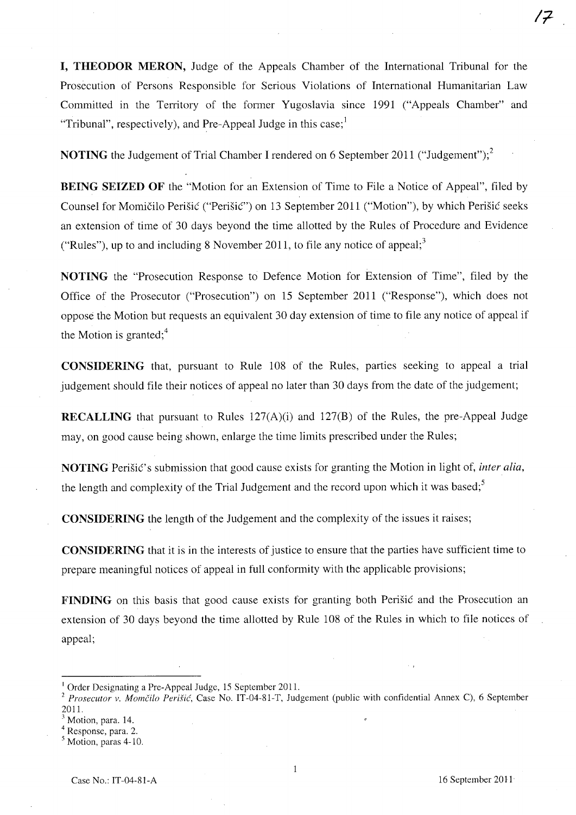**I, THEODOR MERON,** Judge of the Appeals Chamber of the International Tribunal for the Prosecution of Persons Responsible for Serious Violations of International Humanitarian Law Committed in the Territory of the former Yugoslavia since 1991 ("Appeals Chamber" and "Tribunal", respectively), and Pre-Appeal Judge in this case; $^1$ 

**NOTING** the Judgement of Trial Chamber I rendered on 6 September 2011 ("Judgement");<sup>2</sup>

**BEING SEIZED OF** the "Motion for an Extension of Time to File a Notice of Appeal", filed by Counsel for Momičilo Perišić ("Perišić") on 13 September 2011 ("Motion"), by which Perišić seeks an extension of time of 30 days beyond the time allotted by the Rules of Procedure and Evidence ("Rules"), up to and including 8 November 2011, to file any notice of appeal;<sup>3</sup>

**NOTING** the "Prosecution Response to Defence Motion for Extension of Time", filed by the Office of the Prosecutor ("Prosecution") on 15 September 2011 ("Response"), which does not oppose the Motion but requests an equivalent 30 day extension of time to file any notice of appeal if the Motion is granted; $4$ 

**CONSIDERING** that, pursuant to Rule 108 of the Rules, parties seeking to appeal a trial judgement should file their notices of appeal no later than 30 days from the date of the judgement;

**RECALLING** that pursuant to Rules 127(A)(i) and 127(B) of the Rules, the pre-Appeal Judge may, on good cause being shown, enlarge the time limits prescribed under the Rules;

**NOTING** Peristic's submission that good cause exists for granting the Motion in light of, *inter alia*, the length and complexity of the Trial Judgement and the record upon which it was based;<sup>5</sup>

**CONSIDERING** the length of the Judgement and the complexity of the issues it raises;

**CONSIDERING** that it is in the interests of justice to ensure that the parties have sufficient time to prepare meaningful notices of appeal in full conformity with the applicable provisions;

**FINDING** on this basis that good cause exists for granting both Perisic and the Prosecution an extension of 30 days beyond the time allotted by Rule 108 of the Rules in which to file notices of appeal;

Case No.: IT-04-81-A 16 September 2011

<sup>&</sup>lt;sup>1</sup> Order Designating a Pre-Appeal Judge, 15 September 2011.

<sup>&</sup>lt;sup>2</sup> Prosecutor v. Momčilo Perišić, Case No. IT-04-81-T, Judgement (public with confidential Annex C), 6 September 2011.

Motion, para. 14.

Response, para. 2.

Motion, paras 4-10.